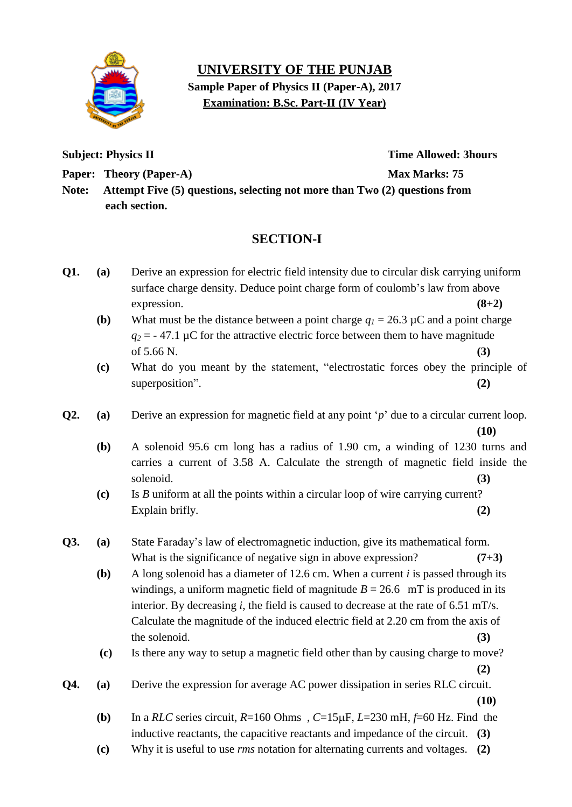

## **UNIVERSITY OF THE PUNJAB Sample Paper of Physics II (Paper-A), 2017 Examination: B.Sc. Part-II (IV Year)**

**Subject: Physics II** Time Allowed: 3hours

**Paper: Theory (Paper-A)** Max Marks: 75

**Note: Attempt Five (5) questions, selecting not more than Two (2) questions from each section.**

## **SECTION-I**

- **Q1. (a)** Derive an expression for electric field intensity due to circular disk carrying uniform surface charge density. Deduce point charge form of coulomb's law from above expression. **(8+2)**
	- **(b)** What must be the distance between a point charge  $q_1 = 26.3 \mu C$  and a point charge  $q_2$  = - 47.1 µC for the attractive electric force between them to have magnitude of  $5.66 \text{ N.}$  (3)
	- **(c)** What do you meant by the statement, "electrostatic forces obey the principle of superposition". **(2)**
- **Q2. (a)** Derive an expression for magnetic field at any point "*p*" due to a circular current loop. **(10)**
	- **(b)** A solenoid 95.6 cm long has a radius of 1.90 cm, a winding of 1230 turns and carries a current of 3.58 A. Calculate the strength of magnetic field inside the solenoid. **(3)**
	- **(c)** Is *B* uniform at all the points within a circular loop of wire carrying current? Explain brifly. **(2)** (2)
- **Q3. (a)** State Faraday"s law of electromagnetic induction, give its mathematical form. What is the significance of negative sign in above expression? **(7+3)** 
	- **(b)** A long solenoid has a diameter of 12.6 cm. When a current *i* is passed through its windings, a uniform magnetic field of magnitude  $B = 26.6$  mT is produced in its interior. By decreasing *i*, the field is caused to decrease at the rate of 6.51 mT/s. Calculate the magnitude of the induced electric field at 2.20 cm from the axis of the solenoid.  $(3)$
	- **(c)** Is there any way to setup a magnetic field other than by causing charge to move? **(2)**
- **Q4. (a)** Derive the expression for average AC power dissipation in series RLC circuit. **(10)**
	- **(b)** In a *RLC* series circuit,  $R=160$  Ohms,  $C=15\mu$ F,  $L=230$  mH,  $f=60$  Hz. Find the inductive reactants, the capacitive reactants and impedance of the circuit. **(3)**
	- **(c)** Why it is useful to use *rms* notation for alternating currents and voltages. **(2)**